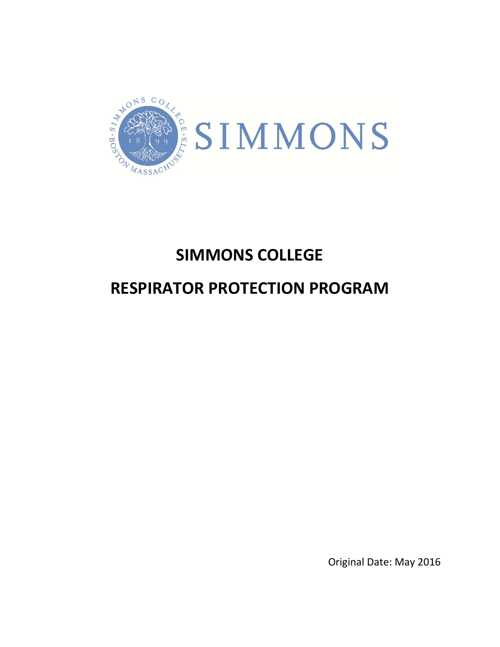

# **SIMMONS COLLEGE**

# **RESPIRATOR PROTECTION PROGRAM**

Original Date: May 2016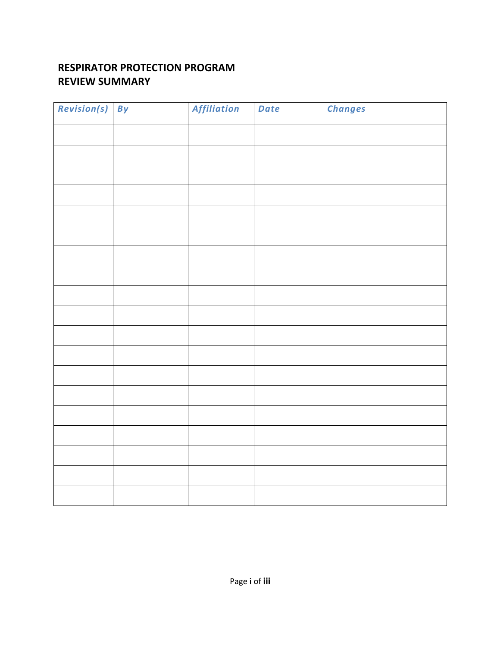#### **RESPIRATOR PROTECTION PROGRAM REVIEW SUMMARY**

| Revision(s) By | Affiliation | Date | <b>Changes</b> |
|----------------|-------------|------|----------------|
|                |             |      |                |
|                |             |      |                |
|                |             |      |                |
|                |             |      |                |
|                |             |      |                |
|                |             |      |                |
|                |             |      |                |
|                |             |      |                |
|                |             |      |                |
|                |             |      |                |
|                |             |      |                |
|                |             |      |                |
|                |             |      |                |
|                |             |      |                |
|                |             |      |                |
|                |             |      |                |
|                |             |      |                |
|                |             |      |                |
|                |             |      |                |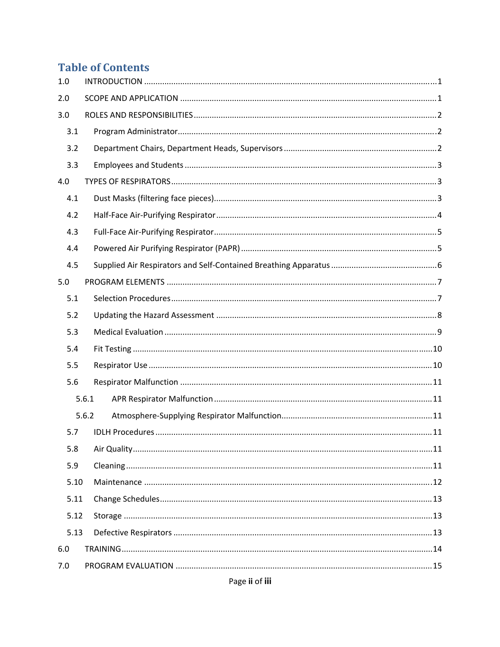# **Table of Contents**

| 1.0  |       |  |
|------|-------|--|
| 2.0  |       |  |
| 3.0  |       |  |
| 3.1  |       |  |
| 3.2  |       |  |
| 3.3  |       |  |
| 4.0  |       |  |
| 4.1  |       |  |
| 4.2  |       |  |
| 4.3  |       |  |
| 4.4  |       |  |
| 4.5  |       |  |
| 5.0  |       |  |
| 5.1  |       |  |
| 5.2  |       |  |
| 5.3  |       |  |
| 5.4  |       |  |
| 5.5  |       |  |
| 5.6  |       |  |
|      | 5.6.1 |  |
|      | 5.6.2 |  |
| 5.7  |       |  |
| 5.8  |       |  |
| 5.9  |       |  |
| 5.10 |       |  |
| 5.11 |       |  |
| 5.12 |       |  |
| 5.13 |       |  |
| 6.0  |       |  |
| 7.0  |       |  |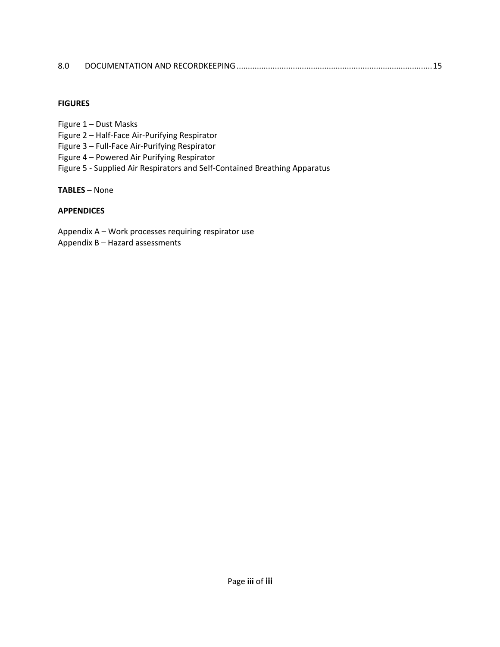| 8.0 |  |  |
|-----|--|--|
|-----|--|--|

#### **FIGURES**

Figure 1 – Dust Masks

- Figure 2 Half‐Face Air‐Purifying Respirator
- Figure 3 Full‐Face Air‐Purifying Respirator
- Figure 4 Powered Air Purifying Respirator
- Figure 5 ‐ Supplied Air Respirators and Self‐Contained Breathing Apparatus

**TABLES** – None

#### **APPENDICES**

Appendix A – Work processes requiring respirator use Appendix B – Hazard assessments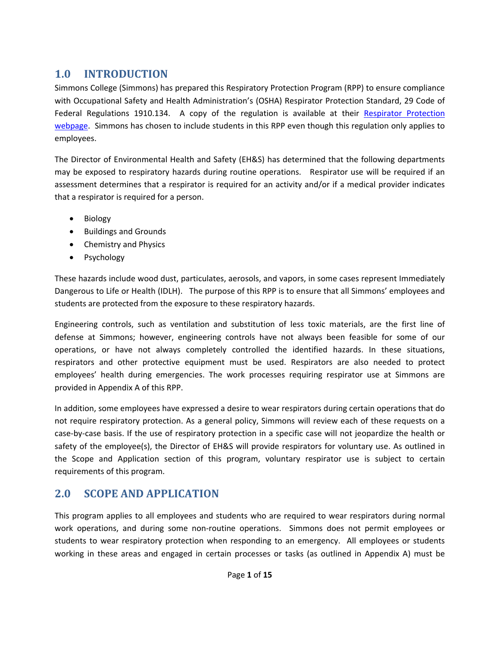# **1.0 INTRODUCTION**

Simmons College (Simmons) has prepared this Respiratory Protection Program (RPP) to ensure compliance with Occupational Safety and Health Administration's (OSHA) Respirator Protection Standard, 29 Code of Federal Regulations 1910.134. A copy of the regulation is available at their Respirator Protection webpage. Simmons has chosen to include students in this RPP even though this regulation only applies to employees.

The Director of Environmental Health and Safety (EH&S) has determined that the following departments may be exposed to respiratory hazards during routine operations. Respirator use will be required if an assessment determines that a respirator is required for an activity and/or if a medical provider indicates that a respirator is required for a person.

- Biology
- Buildings and Grounds
- Chemistry and Physics
- Psychology

These hazards include wood dust, particulates, aerosols, and vapors, in some cases represent Immediately Dangerous to Life or Health (IDLH). The purpose of this RPP is to ensure that all Simmons' employees and students are protected from the exposure to these respiratory hazards.

Engineering controls, such as ventilation and substitution of less toxic materials, are the first line of defense at Simmons; however, engineering controls have not always been feasible for some of our operations, or have not always completely controlled the identified hazards. In these situations, respirators and other protective equipment must be used. Respirators are also needed to protect employees' health during emergencies. The work processes requiring respirator use at Simmons are provided in Appendix A of this RPP.

In addition, some employees have expressed a desire to wear respirators during certain operations that do not require respiratory protection. As a general policy, Simmons will review each of these requests on a case‐by‐case basis. If the use of respiratory protection in a specific case will not jeopardize the health or safety of the employee(s), the Director of EH&S will provide respirators for voluntary use. As outlined in the Scope and Application section of this program, voluntary respirator use is subject to certain requirements of this program.

# **2.0 SCOPE AND APPLICATION**

This program applies to all employees and students who are required to wear respirators during normal work operations, and during some non-routine operations. Simmons does not permit employees or students to wear respiratory protection when responding to an emergency. All employees or students working in these areas and engaged in certain processes or tasks (as outlined in Appendix A) must be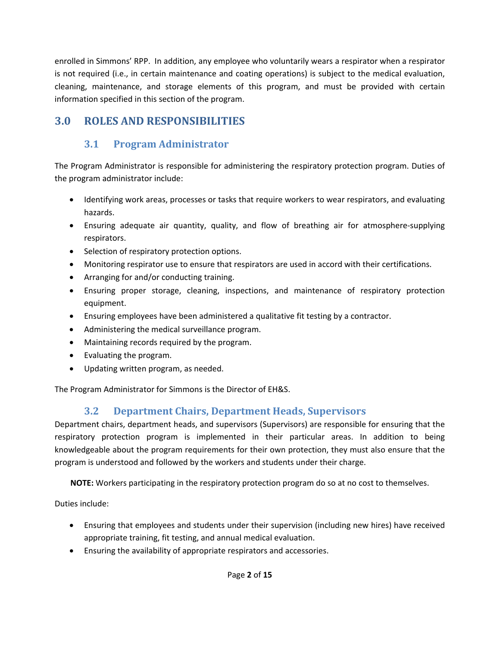enrolled in Simmons' RPP. In addition, any employee who voluntarily wears a respirator when a respirator is not required (i.e., in certain maintenance and coating operations) is subject to the medical evaluation, cleaning, maintenance, and storage elements of this program, and must be provided with certain information specified in this section of the program.

# **3.0 ROLES AND RESPONSIBILITIES**

# **3.1 Program Administrator**

The Program Administrator is responsible for administering the respiratory protection program. Duties of the program administrator include:

- Identifying work areas, processes or tasks that require workers to wear respirators, and evaluating hazards.
- Ensuring adequate air quantity, quality, and flow of breathing air for atmosphere‐supplying respirators.
- Selection of respiratory protection options.
- Monitoring respirator use to ensure that respirators are used in accord with their certifications.
- Arranging for and/or conducting training.
- Ensuring proper storage, cleaning, inspections, and maintenance of respiratory protection equipment.
- Ensuring employees have been administered a qualitative fit testing by a contractor.
- Administering the medical surveillance program.
- Maintaining records required by the program.
- Evaluating the program.
- Updating written program, as needed.

The Program Administrator for Simmons is the Director of EH&S.

#### **3.2 Department Chairs, Department Heads, Supervisors**

Department chairs, department heads, and supervisors (Supervisors) are responsible for ensuring that the respiratory protection program is implemented in their particular areas. In addition to being knowledgeable about the program requirements for their own protection, they must also ensure that the program is understood and followed by the workers and students under their charge.

**NOTE:** Workers participating in the respiratory protection program do so at no cost to themselves.

Duties include:

- Ensuring that employees and students under their supervision (including new hires) have received appropriate training, fit testing, and annual medical evaluation.
- Ensuring the availability of appropriate respirators and accessories.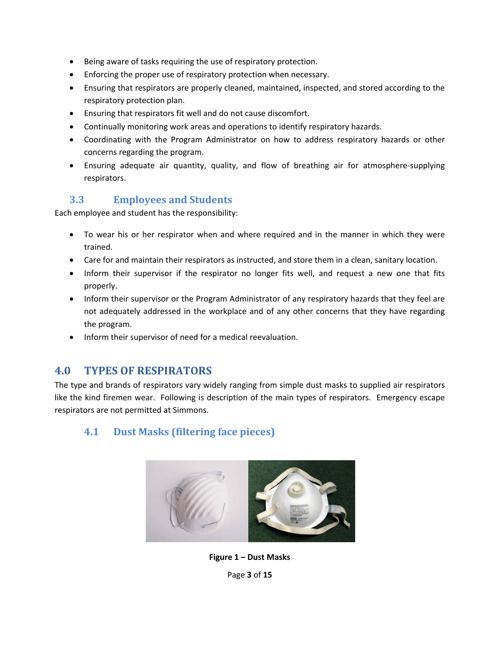- Being aware of tasks requiring the use of respiratory protection.
- Enforcing the proper use of respiratory protection when necessary.
- Ensuring that respirators are properly cleaned, maintained, inspected, and stored according to the respiratory protection plan.
- Ensuring that respirators fit well and do not cause discomfort.
- Continually monitoring work areas and operations to identify respiratory hazards.
- Coordinating with the Program Administrator on how to address respiratory hazards or other concerns regarding the program.
- Ensuring adequate air quantity, quality, and flow of breathing air for atmosphere‐supplying respirators.

#### **3.3 Employees and Students**

Each employee and student has the responsibility:

- To wear his or her respirator when and where required and in the manner in which they were trained.
- Care for and maintain their respirators as instructed, and store them in a clean, sanitary location.
- Inform their supervisor if the respirator no longer fits well, and request a new one that fits properly.
- Inform their supervisor or the Program Administrator of any respiratory hazards that they feel are not adequately addressed in the workplace and of any other concerns that they have regarding the program.
- Inform their supervisor of need for a medical reevaluation.

#### **4.0 TYPES OF RESPIRATORS**

The type and brands of respirators vary widely ranging from simple dust masks to supplied air respirators like the kind firemen wear. Following is description of the main types of respirators. Emergency escape respirators are not permitted at Simmons.

#### **4.1 Dust Masks (filtering face pieces)**



**Figure 1 – Dust Masks**

Page **3** of **15**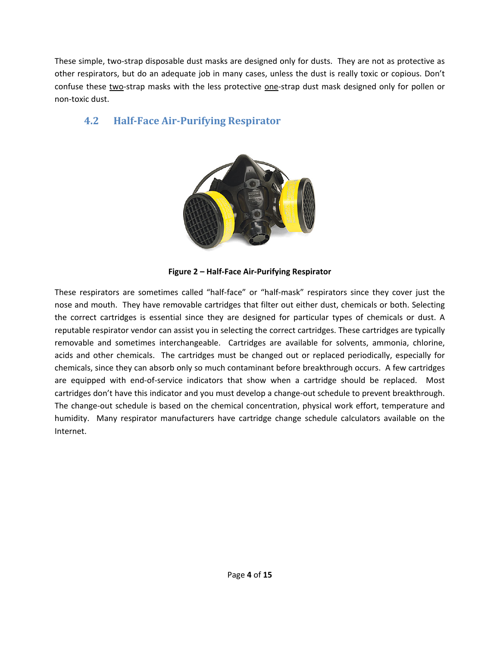These simple, two-strap disposable dust masks are designed only for dusts. They are not as protective as other respirators, but do an adequate job in many cases, unless the dust is really toxic or copious. Don't confuse these two‐strap masks with the less protective one‐strap dust mask designed only for pollen or non‐toxic dust.

#### **4.2 Half‐Face Air‐Purifying Respirator**



**Figure 2 – Half‐Face Air‐Purifying Respirator** 

These respirators are sometimes called "half‐face" or "half‐mask" respirators since they cover just the nose and mouth. They have removable cartridges that filter out either dust, chemicals or both. Selecting the correct cartridges is essential since they are designed for particular types of chemicals or dust. A reputable respirator vendor can assist you in selecting the correct cartridges. These cartridges are typically removable and sometimes interchangeable. Cartridges are available for solvents, ammonia, chlorine, acids and other chemicals. The cartridges must be changed out or replaced periodically, especially for chemicals, since they can absorb only so much contaminant before breakthrough occurs. A few cartridges are equipped with end-of-service indicators that show when a cartridge should be replaced. Most cartridges don't have this indicator and you must develop a change-out schedule to prevent breakthrough. The change-out schedule is based on the chemical concentration, physical work effort, temperature and humidity. Many respirator manufacturers have cartridge change schedule calculators available on the Internet.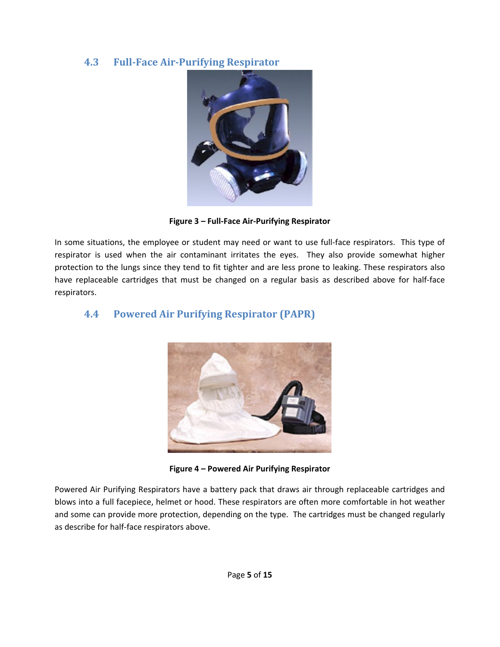#### **4.3 Full‐Face Air‐Purifying Respirator**



**Figure 3 – Full‐Face Air‐Purifying Respirator** 

In some situations, the employee or student may need or want to use full-face respirators. This type of respirator is used when the air contaminant irritates the eyes. They also provide somewhat higher protection to the lungs since they tend to fit tighter and are less prone to leaking. These respirators also have replaceable cartridges that must be changed on a regular basis as described above for half-face respirators.

#### **4.4 Powered Air Purifying Respirator (PAPR)**



**Figure 4 – Powered Air Purifying Respirator** 

Powered Air Purifying Respirators have a battery pack that draws air through replaceable cartridges and blows into a full facepiece, helmet or hood. These respirators are often more comfortable in hot weather and some can provide more protection, depending on the type. The cartridges must be changed regularly as describe for half‐face respirators above.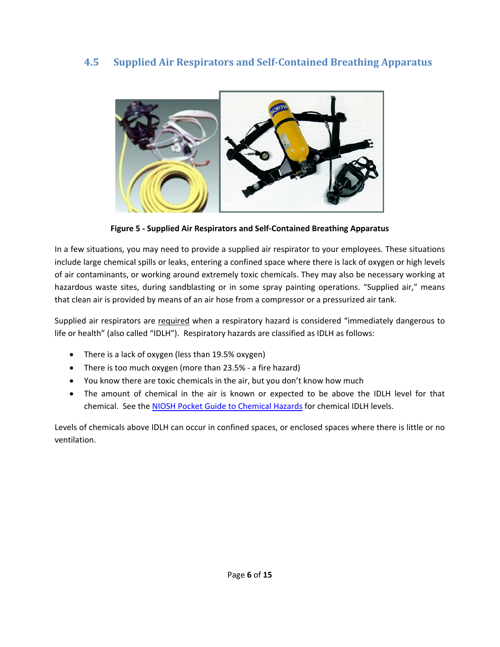#### **4.5 Supplied Air Respirators and Self‐Contained Breathing Apparatus**



**Figure 5 ‐ Supplied Air Respirators and Self‐Contained Breathing Apparatus**

In a few situations, you may need to provide a supplied air respirator to your employees. These situations include large chemical spills or leaks, entering a confined space where there is lack of oxygen or high levels of air contaminants, or working around extremely toxic chemicals. They may also be necessary working at hazardous waste sites, during sandblasting or in some spray painting operations. "Supplied air," means that clean air is provided by means of an air hose from a compressor or a pressurized air tank.

Supplied air respirators are required when a respiratory hazard is considered "immediately dangerous to life or health" (also called "IDLH"). Respiratory hazards are classified as IDLH as follows:

- There is a lack of oxygen (less than 19.5% oxygen)
- There is too much oxygen (more than 23.5% ‐ a fire hazard)
- You know there are toxic chemicals in the air, but you don't know how much
- The amount of chemical in the air is known or expected to be above the IDLH level for that chemical. See the NIOSH Pocket Guide to Chemical Hazards for chemical IDLH levels.

Levels of chemicals above IDLH can occur in confined spaces, or enclosed spaces where there is little or no ventilation.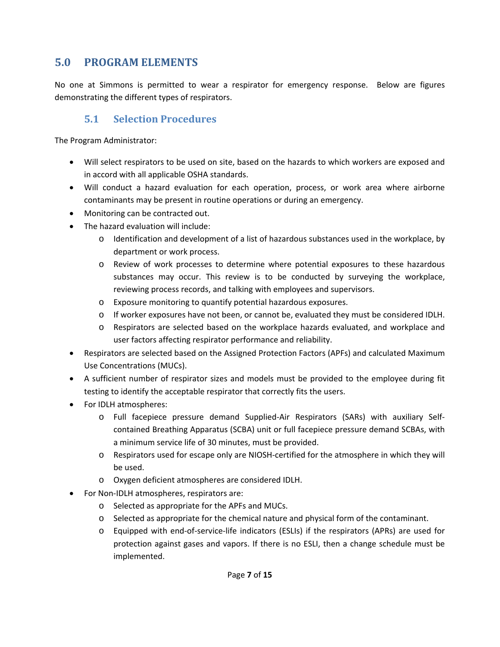# **5.0 PROGRAM ELEMENTS**

No one at Simmons is permitted to wear a respirator for emergency response. Below are figures demonstrating the different types of respirators.

#### **5.1 Selection Procedures**

The Program Administrator:

- Will select respirators to be used on site, based on the hazards to which workers are exposed and in accord with all applicable OSHA standards.
- Will conduct a hazard evaluation for each operation, process, or work area where airborne contaminants may be present in routine operations or during an emergency.
- Monitoring can be contracted out.
- The hazard evaluation will include:
	- o Identification and development of a list of hazardous substances used in the workplace, by department or work process.
	- o Review of work processes to determine where potential exposures to these hazardous substances may occur. This review is to be conducted by surveying the workplace, reviewing process records, and talking with employees and supervisors.
	- o Exposure monitoring to quantify potential hazardous exposures.
	- o If worker exposures have not been, or cannot be, evaluated they must be considered IDLH.
	- o Respirators are selected based on the workplace hazards evaluated, and workplace and user factors affecting respirator performance and reliability.
- Respirators are selected based on the Assigned Protection Factors (APFs) and calculated Maximum Use Concentrations (MUCs).
- A sufficient number of respirator sizes and models must be provided to the employee during fit testing to identify the acceptable respirator that correctly fits the users.
- For IDLH atmospheres:
	- o Full facepiece pressure demand Supplied‐Air Respirators (SARs) with auxiliary Self‐ contained Breathing Apparatus (SCBA) unit or full facepiece pressure demand SCBAs, with a minimum service life of 30 minutes, must be provided.
	- o Respirators used for escape only are NIOSH‐certified for the atmosphere in which they will be used.
	- o Oxygen deficient atmospheres are considered IDLH.
- For Non‐IDLH atmospheres, respirators are:
	- o Selected as appropriate for the APFs and MUCs.
	- o Selected as appropriate for the chemical nature and physical form of the contaminant.
	- o Equipped with end‐of‐service‐life indicators (ESLIs) if the respirators (APRs) are used for protection against gases and vapors. If there is no ESLI, then a change schedule must be implemented.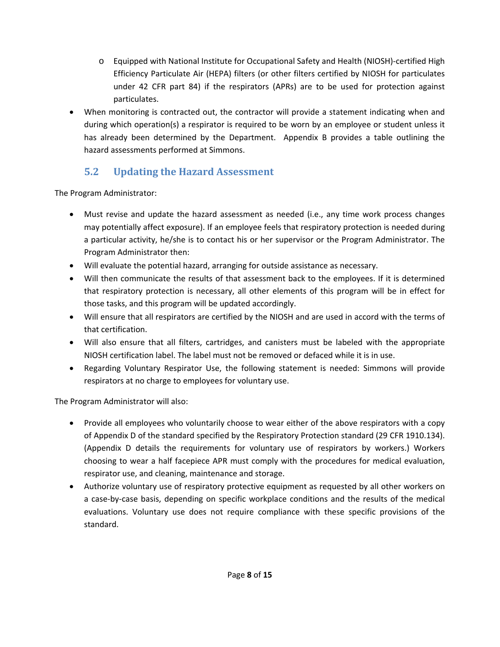- o Equipped with National Institute for Occupational Safety and Health (NIOSH)‐certified High Efficiency Particulate Air (HEPA) filters (or other filters certified by NIOSH for particulates under 42 CFR part 84) if the respirators (APRs) are to be used for protection against particulates.
- When monitoring is contracted out, the contractor will provide a statement indicating when and during which operation(s) a respirator is required to be worn by an employee or student unless it has already been determined by the Department. Appendix B provides a table outlining the hazard assessments performed at Simmons.

# **5.2 Updating the Hazard Assessment**

The Program Administrator:

- Must revise and update the hazard assessment as needed (i.e., any time work process changes may potentially affect exposure). If an employee feels that respiratory protection is needed during a particular activity, he/she is to contact his or her supervisor or the Program Administrator. The Program Administrator then:
- Will evaluate the potential hazard, arranging for outside assistance as necessary.
- Will then communicate the results of that assessment back to the employees. If it is determined that respiratory protection is necessary, all other elements of this program will be in effect for those tasks, and this program will be updated accordingly.
- Will ensure that all respirators are certified by the NIOSH and are used in accord with the terms of that certification.
- Will also ensure that all filters, cartridges, and canisters must be labeled with the appropriate NIOSH certification label. The label must not be removed or defaced while it is in use.
- Regarding Voluntary Respirator Use, the following statement is needed: Simmons will provide respirators at no charge to employees for voluntary use.

The Program Administrator will also:

- Provide all employees who voluntarily choose to wear either of the above respirators with a copy of Appendix D of the standard specified by the Respiratory Protection standard (29 CFR 1910.134). (Appendix D details the requirements for voluntary use of respirators by workers.) Workers choosing to wear a half facepiece APR must comply with the procedures for medical evaluation, respirator use, and cleaning, maintenance and storage.
- Authorize voluntary use of respiratory protective equipment as requested by all other workers on a case‐by‐case basis, depending on specific workplace conditions and the results of the medical evaluations. Voluntary use does not require compliance with these specific provisions of the standard.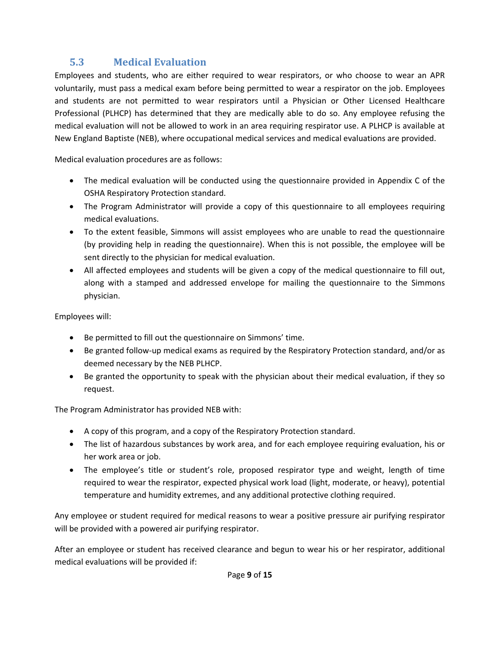# **5.3 Medical Evaluation**

Employees and students, who are either required to wear respirators, or who choose to wear an APR voluntarily, must pass a medical exam before being permitted to wear a respirator on the job. Employees and students are not permitted to wear respirators until a Physician or Other Licensed Healthcare Professional (PLHCP) has determined that they are medically able to do so. Any employee refusing the medical evaluation will not be allowed to work in an area requiring respirator use. A PLHCP is available at New England Baptiste (NEB), where occupational medical services and medical evaluations are provided.

Medical evaluation procedures are as follows:

- The medical evaluation will be conducted using the questionnaire provided in Appendix C of the OSHA Respiratory Protection standard.
- The Program Administrator will provide a copy of this questionnaire to all employees requiring medical evaluations.
- To the extent feasible, Simmons will assist employees who are unable to read the questionnaire (by providing help in reading the questionnaire). When this is not possible, the employee will be sent directly to the physician for medical evaluation.
- All affected employees and students will be given a copy of the medical questionnaire to fill out, along with a stamped and addressed envelope for mailing the questionnaire to the Simmons physician.

Employees will:

- Be permitted to fill out the questionnaire on Simmons' time.
- Be granted follow-up medical exams as required by the Respiratory Protection standard, and/or as deemed necessary by the NEB PLHCP.
- Be granted the opportunity to speak with the physician about their medical evaluation, if they so request.

The Program Administrator has provided NEB with:

- A copy of this program, and a copy of the Respiratory Protection standard.
- The list of hazardous substances by work area, and for each employee requiring evaluation, his or her work area or job.
- The employee's title or student's role, proposed respirator type and weight, length of time required to wear the respirator, expected physical work load (light, moderate, or heavy), potential temperature and humidity extremes, and any additional protective clothing required.

Any employee or student required for medical reasons to wear a positive pressure air purifying respirator will be provided with a powered air purifying respirator.

After an employee or student has received clearance and begun to wear his or her respirator, additional medical evaluations will be provided if: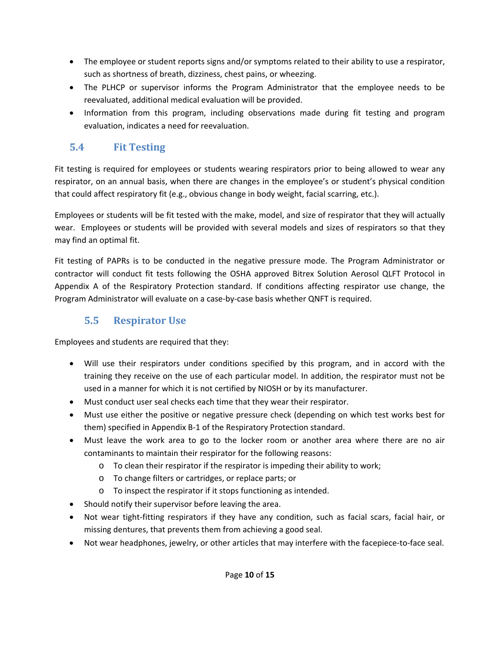- The employee or student reports signs and/or symptoms related to their ability to use a respirator, such as shortness of breath, dizziness, chest pains, or wheezing.
- The PLHCP or supervisor informs the Program Administrator that the employee needs to be reevaluated, additional medical evaluation will be provided.
- Information from this program, including observations made during fit testing and program evaluation, indicates a need for reevaluation.

### **5.4 Fit Testing**

Fit testing is required for employees or students wearing respirators prior to being allowed to wear any respirator, on an annual basis, when there are changes in the employee's or student's physical condition that could affect respiratory fit (e.g., obvious change in body weight, facial scarring, etc.).

Employees or students will be fit tested with the make, model, and size of respirator that they will actually wear. Employees or students will be provided with several models and sizes of respirators so that they may find an optimal fit.

Fit testing of PAPRs is to be conducted in the negative pressure mode. The Program Administrator or contractor will conduct fit tests following the OSHA approved Bitrex Solution Aerosol QLFT Protocol in Appendix A of the Respiratory Protection standard. If conditions affecting respirator use change, the Program Administrator will evaluate on a case‐by‐case basis whether QNFT is required.

# **5.5 Respirator Use**

Employees and students are required that they:

- Will use their respirators under conditions specified by this program, and in accord with the training they receive on the use of each particular model. In addition, the respirator must not be used in a manner for which it is not certified by NIOSH or by its manufacturer.
- Must conduct user seal checks each time that they wear their respirator.
- Must use either the positive or negative pressure check (depending on which test works best for them) specified in Appendix B‐1 of the Respiratory Protection standard.
- Must leave the work area to go to the locker room or another area where there are no air contaminants to maintain their respirator for the following reasons:
	- $\circ$  To clean their respirator if the respirator is impeding their ability to work;
	- o To change filters or cartridges, or replace parts; or
	- o To inspect the respirator if it stops functioning as intended.
- Should notify their supervisor before leaving the area.
- Not wear tight-fitting respirators if they have any condition, such as facial scars, facial hair, or missing dentures, that prevents them from achieving a good seal.
- Not wear headphones, jewelry, or other articles that may interfere with the facepiece-to-face seal.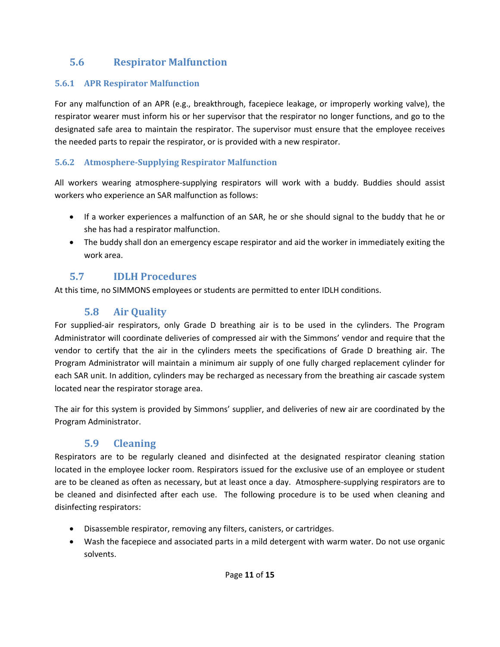# **5.6 Respirator Malfunction**

#### **5.6.1 APR Respirator Malfunction**

For any malfunction of an APR (e.g., breakthrough, facepiece leakage, or improperly working valve), the respirator wearer must inform his or her supervisor that the respirator no longer functions, and go to the designated safe area to maintain the respirator. The supervisor must ensure that the employee receives the needed parts to repair the respirator, or is provided with a new respirator.

#### **5.6.2 Atmosphere‐Supplying Respirator Malfunction**

All workers wearing atmosphere‐supplying respirators will work with a buddy. Buddies should assist workers who experience an SAR malfunction as follows:

- If a worker experiences a malfunction of an SAR, he or she should signal to the buddy that he or she has had a respirator malfunction.
- The buddy shall don an emergency escape respirator and aid the worker in immediately exiting the work area.

### **5.7 IDLH Procedures**

At this time, no SIMMONS employees or students are permitted to enter IDLH conditions.

### **5.8 Air Quality**

For supplied‐air respirators, only Grade D breathing air is to be used in the cylinders. The Program Administrator will coordinate deliveries of compressed air with the Simmons' vendor and require that the vendor to certify that the air in the cylinders meets the specifications of Grade D breathing air. The Program Administrator will maintain a minimum air supply of one fully charged replacement cylinder for each SAR unit. In addition, cylinders may be recharged as necessary from the breathing air cascade system located near the respirator storage area.

The air for this system is provided by Simmons' supplier, and deliveries of new air are coordinated by the Program Administrator.

# **5.9 Cleaning**

Respirators are to be regularly cleaned and disinfected at the designated respirator cleaning station located in the employee locker room. Respirators issued for the exclusive use of an employee or student are to be cleaned as often as necessary, but at least once a day. Atmosphere‐supplying respirators are to be cleaned and disinfected after each use. The following procedure is to be used when cleaning and disinfecting respirators:

- Disassemble respirator, removing any filters, canisters, or cartridges.
- Wash the facepiece and associated parts in a mild detergent with warm water. Do not use organic solvents.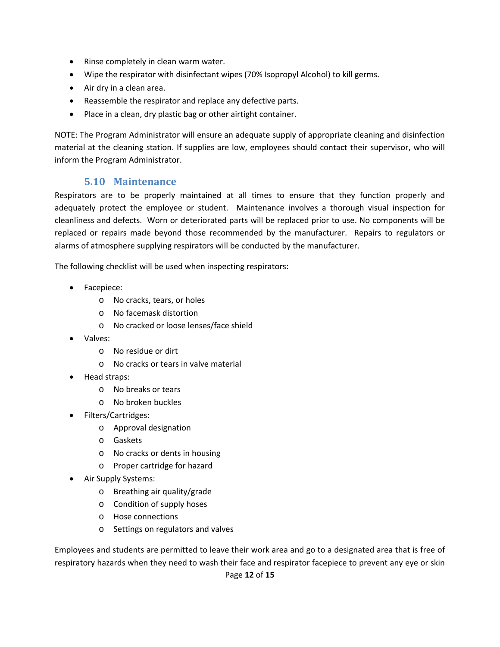- Rinse completely in clean warm water.
- Wipe the respirator with disinfectant wipes (70% Isopropyl Alcohol) to kill germs.
- Air dry in a clean area.
- Reassemble the respirator and replace any defective parts.
- Place in a clean, dry plastic bag or other airtight container.

NOTE: The Program Administrator will ensure an adequate supply of appropriate cleaning and disinfection material at the cleaning station. If supplies are low, employees should contact their supervisor, who will inform the Program Administrator.

#### **5.10 Maintenance**

Respirators are to be properly maintained at all times to ensure that they function properly and adequately protect the employee or student. Maintenance involves a thorough visual inspection for cleanliness and defects. Worn or deteriorated parts will be replaced prior to use. No components will be replaced or repairs made beyond those recommended by the manufacturer. Repairs to regulators or alarms of atmosphere supplying respirators will be conducted by the manufacturer.

The following checklist will be used when inspecting respirators:

- Facepiece:
	- o No cracks, tears, or holes
	- o No facemask distortion
	- o No cracked or loose lenses/face shield
- Valves:
	- o No residue or dirt
	- o No cracks or tears in valve material
- Head straps:
	- o No breaks or tears
	- o No broken buckles
- Filters/Cartridges:
	- o Approval designation
	- o Gaskets
	- o No cracks or dents in housing
	- o Proper cartridge for hazard
- Air Supply Systems:
	- o Breathing air quality/grade
	- o Condition of supply hoses
	- o Hose connections
	- o Settings on regulators and valves

Page **12** of **15** Employees and students are permitted to leave their work area and go to a designated area that is free of respiratory hazards when they need to wash their face and respirator facepiece to prevent any eye or skin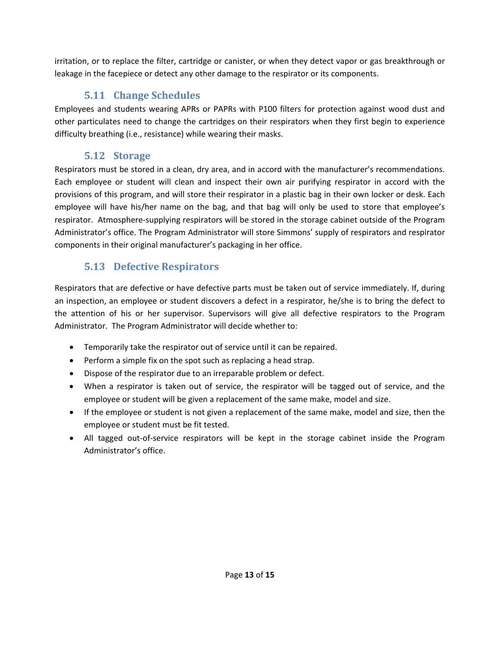irritation, or to replace the filter, cartridge or canister, or when they detect vapor or gas breakthrough or leakage in the facepiece or detect any other damage to the respirator or its components.

#### **5.11 Change Schedules**

Employees and students wearing APRs or PAPRs with P100 filters for protection against wood dust and other particulates need to change the cartridges on their respirators when they first begin to experience difficulty breathing (i.e., resistance) while wearing their masks.

#### **5.12 Storage**

Respirators must be stored in a clean, dry area, and in accord with the manufacturer's recommendations. Each employee or student will clean and inspect their own air purifying respirator in accord with the provisions of this program, and will store their respirator in a plastic bag in their own locker or desk. Each employee will have his/her name on the bag, and that bag will only be used to store that employee's respirator. Atmosphere‐supplying respirators will be stored in the storage cabinet outside of the Program Administrator's office. The Program Administrator will store Simmons' supply of respirators and respirator components in their original manufacturer's packaging in her office.

### **5.13 Defective Respirators**

Respirators that are defective or have defective parts must be taken out of service immediately. If, during an inspection, an employee or student discovers a defect in a respirator, he/she is to bring the defect to the attention of his or her supervisor. Supervisors will give all defective respirators to the Program Administrator. The Program Administrator will decide whether to:

- Temporarily take the respirator out of service until it can be repaired.
- Perform a simple fix on the spot such as replacing a head strap.
- Dispose of the respirator due to an irreparable problem or defect.
- When a respirator is taken out of service, the respirator will be tagged out of service, and the employee or student will be given a replacement of the same make, model and size.
- If the employee or student is not given a replacement of the same make, model and size, then the employee or student must be fit tested.
- All tagged out‐of‐service respirators will be kept in the storage cabinet inside the Program Administrator's office.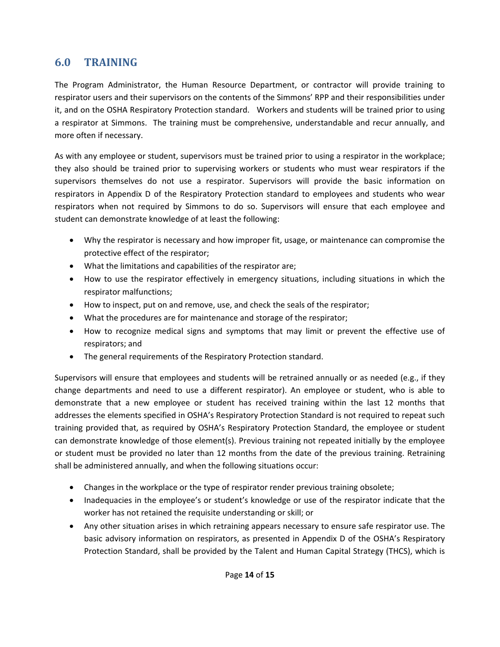### **6.0 TRAINING**

The Program Administrator, the Human Resource Department, or contractor will provide training to respirator users and their supervisors on the contents of the Simmons' RPP and their responsibilities under it, and on the OSHA Respiratory Protection standard. Workers and students will be trained prior to using a respirator at Simmons. The training must be comprehensive, understandable and recur annually, and more often if necessary.

As with any employee or student, supervisors must be trained prior to using a respirator in the workplace; they also should be trained prior to supervising workers or students who must wear respirators if the supervisors themselves do not use a respirator. Supervisors will provide the basic information on respirators in Appendix D of the Respiratory Protection standard to employees and students who wear respirators when not required by Simmons to do so. Supervisors will ensure that each employee and student can demonstrate knowledge of at least the following:

- Why the respirator is necessary and how improper fit, usage, or maintenance can compromise the protective effect of the respirator;
- What the limitations and capabilities of the respirator are;
- How to use the respirator effectively in emergency situations, including situations in which the respirator malfunctions;
- How to inspect, put on and remove, use, and check the seals of the respirator;
- What the procedures are for maintenance and storage of the respirator;
- How to recognize medical signs and symptoms that may limit or prevent the effective use of respirators; and
- The general requirements of the Respiratory Protection standard.

Supervisors will ensure that employees and students will be retrained annually or as needed (e.g., if they change departments and need to use a different respirator). An employee or student, who is able to demonstrate that a new employee or student has received training within the last 12 months that addresses the elements specified in OSHA's Respiratory Protection Standard is not required to repeat such training provided that, as required by OSHA's Respiratory Protection Standard, the employee or student can demonstrate knowledge of those element(s). Previous training not repeated initially by the employee or student must be provided no later than 12 months from the date of the previous training. Retraining shall be administered annually, and when the following situations occur:

- Changes in the workplace or the type of respirator render previous training obsolete;
- Inadequacies in the employee's or student's knowledge or use of the respirator indicate that the worker has not retained the requisite understanding or skill; or
- Any other situation arises in which retraining appears necessary to ensure safe respirator use. The basic advisory information on respirators, as presented in Appendix D of the OSHA's Respiratory Protection Standard, shall be provided by the Talent and Human Capital Strategy (THCS), which is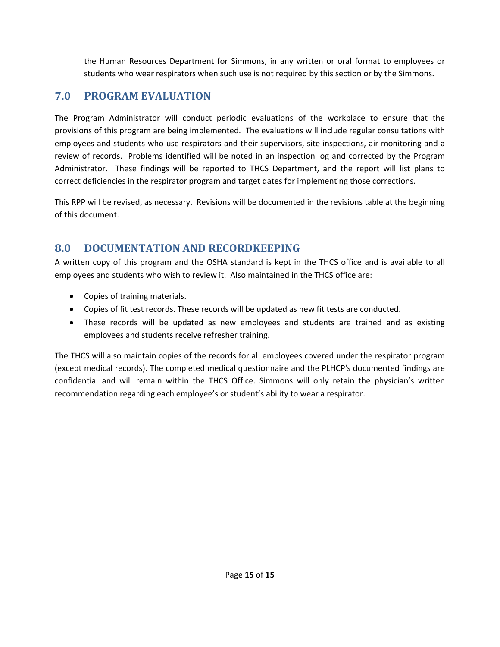the Human Resources Department for Simmons, in any written or oral format to employees or students who wear respirators when such use is not required by this section or by the Simmons.

# **7.0 PROGRAM EVALUATION**

The Program Administrator will conduct periodic evaluations of the workplace to ensure that the provisions of this program are being implemented. The evaluations will include regular consultations with employees and students who use respirators and their supervisors, site inspections, air monitoring and a review of records. Problems identified will be noted in an inspection log and corrected by the Program Administrator. These findings will be reported to THCS Department, and the report will list plans to correct deficiencies in the respirator program and target dates for implementing those corrections.

This RPP will be revised, as necessary. Revisions will be documented in the revisions table at the beginning of this document.

### **8.0 DOCUMENTATION AND RECORDKEEPING**

A written copy of this program and the OSHA standard is kept in the THCS office and is available to all employees and students who wish to review it. Also maintained in the THCS office are:

- Copies of training materials.
- Copies of fit test records. These records will be updated as new fit tests are conducted.
- These records will be updated as new employees and students are trained and as existing employees and students receive refresher training.

The THCS will also maintain copies of the records for all employees covered under the respirator program (except medical records). The completed medical questionnaire and the PLHCP's documented findings are confidential and will remain within the THCS Office. Simmons will only retain the physician's written recommendation regarding each employee's or student's ability to wear a respirator.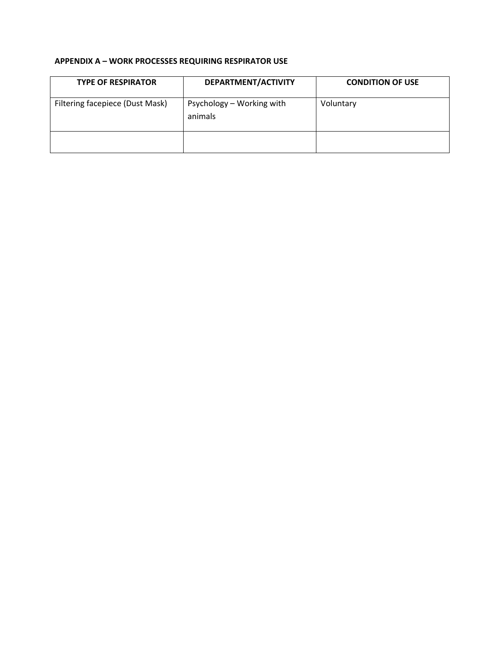#### **APPENDIX A – WORK PROCESSES REQUIRING RESPIRATOR USE**

| <b>TYPE OF RESPIRATOR</b>       | DEPARTMENT/ACTIVITY                  | <b>CONDITION OF USE</b> |
|---------------------------------|--------------------------------------|-------------------------|
| Filtering facepiece (Dust Mask) | Psychology – Working with<br>animals | Voluntary               |
|                                 |                                      |                         |